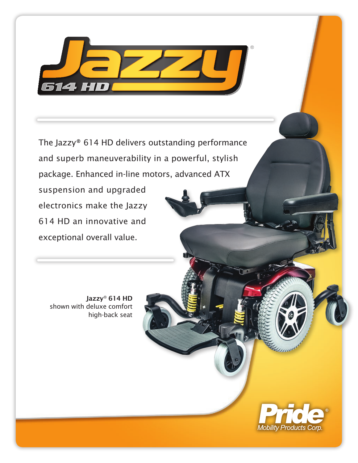

The Jazzy® 614 HD delivers outstanding performance and superb maneuverability in a powerful, stylish package. Enhanced in-line motors, advanced ATX

suspension and upgraded electronics make the Jazzy 614 HD an innovative and exceptional overall value.

Jazzy® 614 HD shown with deluxe comfort high-back seat